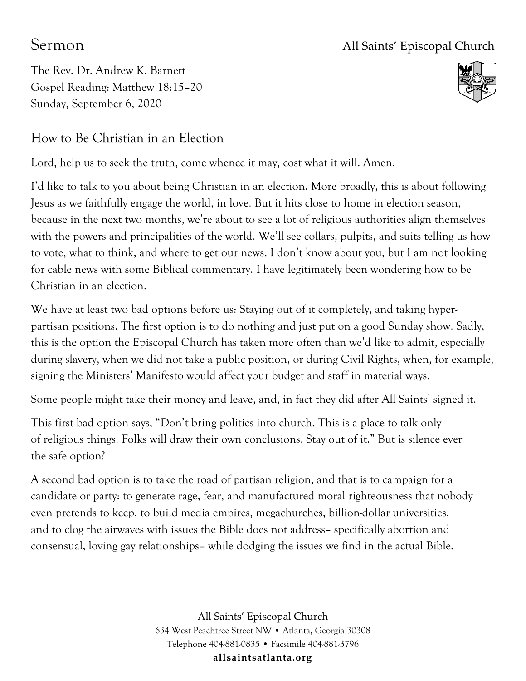## Sermon All Saints' Episcopal Church

The Rev. Dr. Andrew K. Barnett Gospel Reading: Matthew 18:15–20 Sunday, September 6, 2020



## How to Be Christian in an Election

Lord, help us to seek the truth, come whence it may, cost what it will. Amen.

I'd like to talk to you about being Christian in an election. More broadly, this is about following Jesus as we faithfully engage the world, in love. But it hits close to home in election season, because in the next two months, we're about to see a lot of religious authorities align themselves with the powers and principalities of the world. We'll see collars, pulpits, and suits telling us how to vote, what to think, and where to get our news. I don't know about you, but I am not looking for cable news with some Biblical commentary. I have legitimately been wondering how to be Christian in an election.

We have at least two bad options before us: Staying out of it completely, and taking hyperpartisan positions. The first option is to do nothing and just put on a good Sunday show. Sadly, this is the option the Episcopal Church has taken more often than we'd like to admit, especially during slavery, when we did not take a public position, or during Civil Rights, when, for example, signing the Ministers' Manifesto would affect your budget and staff in material ways.

Some people might take their money and leave, and, in fact they did after All Saints' signed it.

This first bad option says, "Don't bring politics into church. This is a place to talk only of religious things. Folks will draw their own conclusions. Stay out of it." But is silence ever the safe option?

A second bad option is to take the road of partisan religion, and that is to campaign for a candidate or party: to generate rage, fear, and manufactured moral righteousness that nobody even pretends to keep, to build media empires, megachurches, billion-dollar universities, and to clog the airwaves with issues the Bible does not address– specifically abortion and consensual, loving gay relationships– while dodging the issues we find in the actual Bible.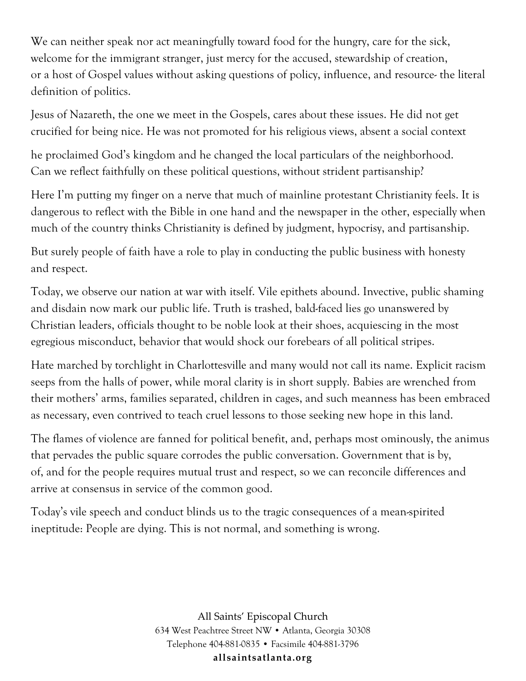We can neither speak nor act meaningfully toward food for the hungry, care for the sick, welcome for the immigrant stranger, just mercy for the accused, stewardship of creation, or a host of Gospel values without asking questions of policy, influence, and resource- the literal definition of politics.

Jesus of Nazareth, the one we meet in the Gospels, cares about these issues. He did not get crucified for being nice. He was not promoted for his religious views, absent a social context

he proclaimed God's kingdom and he changed the local particulars of the neighborhood. Can we reflect faithfully on these political questions, without strident partisanship?

Here I'm putting my finger on a nerve that much of mainline protestant Christianity feels. It is dangerous to reflect with the Bible in one hand and the newspaper in the other, especially when much of the country thinks Christianity is defined by judgment, hypocrisy, and partisanship.

But surely people of faith have a role to play in conducting the public business with honesty and respect.

Today, we observe our nation at war with itself. Vile epithets abound. Invective, public shaming and disdain now mark our public life. Truth is trashed, bald-faced lies go unanswered by Christian leaders, officials thought to be noble look at their shoes, acquiescing in the most egregious misconduct, behavior that would shock our forebears of all political stripes.

Hate marched by torchlight in Charlottesville and many would not call its name. Explicit racism seeps from the halls of power, while moral clarity is in short supply. Babies are wrenched from their mothers' arms, families separated, children in cages, and such meanness has been embraced as necessary, even contrived to teach cruel lessons to those seeking new hope in this land.

The flames of violence are fanned for political benefit, and, perhaps most ominously, the animus that pervades the public square corrodes the public conversation. Government that is by, of, and for the people requires mutual trust and respect, so we can reconcile differences and arrive at consensus in service of the common good.

Today's vile speech and conduct blinds us to the tragic consequences of a mean-spirited ineptitude: People are dying. This is not normal, and something is wrong.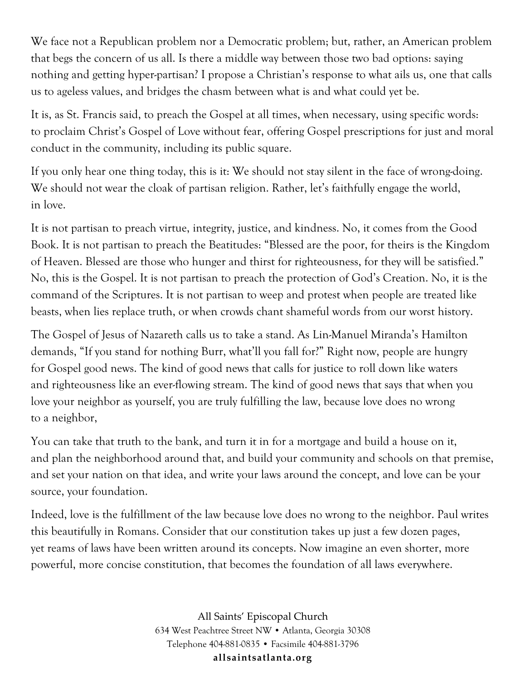We face not a Republican problem nor a Democratic problem; but, rather, an American problem that begs the concern of us all. Is there a middle way between those two bad options: saying nothing and getting hyper-partisan? I propose a Christian's response to what ails us, one that calls us to ageless values, and bridges the chasm between what is and what could yet be.

It is, as St. Francis said, to preach the Gospel at all times, when necessary, using specific words: to proclaim Christ's Gospel of Love without fear, offering Gospel prescriptions for just and moral conduct in the community, including its public square.

If you only hear one thing today, this is it: We should not stay silent in the face of wrong-doing. We should not wear the cloak of partisan religion. Rather, let's faithfully engage the world, in love.

It is not partisan to preach virtue, integrity, justice, and kindness. No, it comes from the Good Book. It is not partisan to preach the Beatitudes: "Blessed are the poor, for theirs is the Kingdom of Heaven. Blessed are those who hunger and thirst for righteousness, for they will be satisfied." No, this is the Gospel. It is not partisan to preach the protection of God's Creation. No, it is the command of the Scriptures. It is not partisan to weep and protest when people are treated like beasts, when lies replace truth, or when crowds chant shameful words from our worst history.

The Gospel of Jesus of Nazareth calls us to take a stand. As Lin-Manuel Miranda's Hamilton demands, "If you stand for nothing Burr, what'll you fall for?" Right now, people are hungry for Gospel good news. The kind of good news that calls for justice to roll down like waters and righteousness like an ever-flowing stream. The kind of good news that says that when you love your neighbor as yourself, you are truly fulfilling the law, because love does no wrong to a neighbor,

You can take that truth to the bank, and turn it in for a mortgage and build a house on it, and plan the neighborhood around that, and build your community and schools on that premise, and set your nation on that idea, and write your laws around the concept, and love can be your source, your foundation.

Indeed, love is the fulfillment of the law because love does no wrong to the neighbor. Paul writes this beautifully in Romans. Consider that our constitution takes up just a few dozen pages, yet reams of laws have been written around its concepts. Now imagine an even shorter, more powerful, more concise constitution, that becomes the foundation of all laws everywhere.